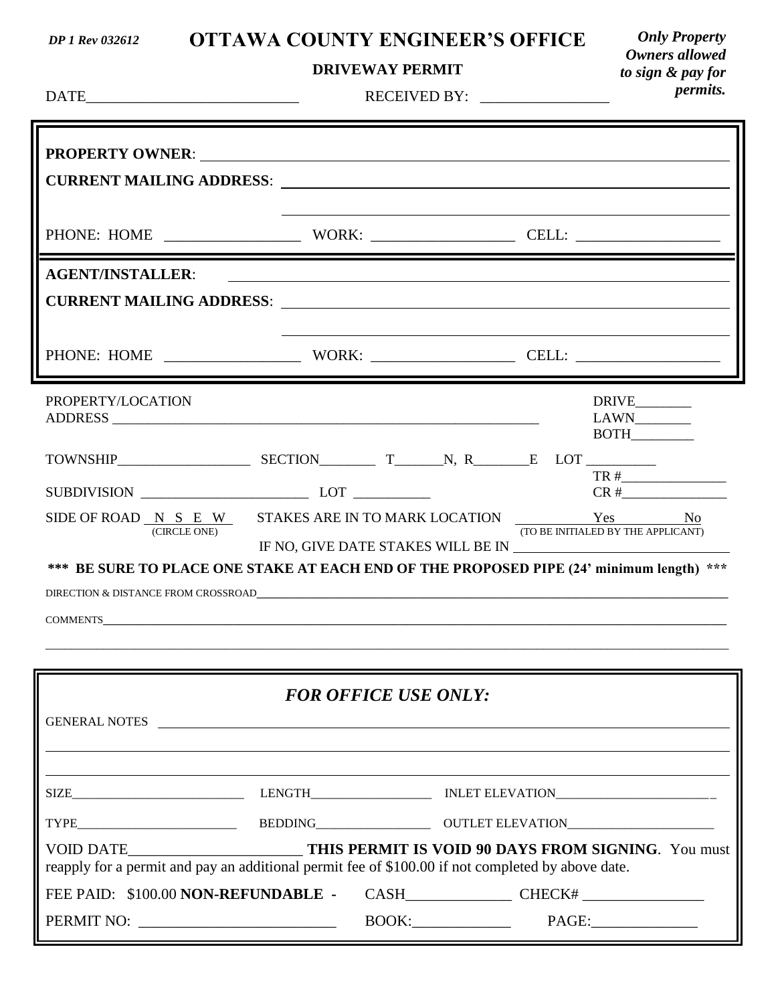### **OTTAWA COUNTY ENGINEER'S OFFICE**

### **DRIVEWAY PERMIT**

*Only Property Owners allowed to sign & pay for permits.*

| <b>DATE</b><br><u> 1989 - Johann Barbara, martin da kasar Amerikaansk filozof (</u>                                                                                                                                            |                                                                                                                      |  |  |  | <i>permus.</i>                                                                                                                                                                                                                                                                                                                                                                                                                                                                                |
|--------------------------------------------------------------------------------------------------------------------------------------------------------------------------------------------------------------------------------|----------------------------------------------------------------------------------------------------------------------|--|--|--|-----------------------------------------------------------------------------------------------------------------------------------------------------------------------------------------------------------------------------------------------------------------------------------------------------------------------------------------------------------------------------------------------------------------------------------------------------------------------------------------------|
| PROPERTY OWNER: New York Changes and Separate Section 2014 19:30 19:30 19:30 19:30 19:30 19:30 19:30 19:30 19:30 19:30 19:30 19:30 19:30 19:30 19:30 19:30 19:30 19:30 19:30 19:30 19:30 19:30 19:30 19:30 19:30 19:30 19:30 1 |                                                                                                                      |  |  |  |                                                                                                                                                                                                                                                                                                                                                                                                                                                                                               |
|                                                                                                                                                                                                                                | <u> 1980 - Jan Samuel Barbara, martin da basar da basar da basar da basar da basar da basar da basar da basar da</u> |  |  |  |                                                                                                                                                                                                                                                                                                                                                                                                                                                                                               |
| <b>AGENT/INSTALLER:</b>                                                                                                                                                                                                        |                                                                                                                      |  |  |  | <u> 1989 - Andrea Stadt Britain, amerikansk politik (* 1989)</u>                                                                                                                                                                                                                                                                                                                                                                                                                              |
|                                                                                                                                                                                                                                |                                                                                                                      |  |  |  |                                                                                                                                                                                                                                                                                                                                                                                                                                                                                               |
| PROPERTY/LOCATION                                                                                                                                                                                                              |                                                                                                                      |  |  |  | DRIVE________<br>$\begin{tabular}{c} LAWN \hspace{0.03in} \textbf{\textcolor{red}{\bf{1}}\end{tabular} \begin{tabular}{p{0.02\textwidth} \centering \includegraphics{0.04\textwidth]{figs/11.02\textwidth]{figs/11.02\textwidth]{figs/11.02\textwidth]{figs/11.02\textwidth}{\textwidth{figs/11.02\textwidth{figs/11.02\textwidth{figs/11.02\textwidth{figs/11.02\textwidth{figs/11.02\textwidth{figs/11.02\textwidth{figs/11.02\textwidth{figs/11.02\textwidth{$<br><b>BOTH</b>              |
|                                                                                                                                                                                                                                |                                                                                                                      |  |  |  |                                                                                                                                                                                                                                                                                                                                                                                                                                                                                               |
|                                                                                                                                                                                                                                |                                                                                                                      |  |  |  |                                                                                                                                                                                                                                                                                                                                                                                                                                                                                               |
| SIDE OF ROAD N S E W STAKES ARE IN TO MARK LOCATION Yes No<br>(CIRCLE ONE)                                                                                                                                                     |                                                                                                                      |  |  |  | (TO BE INITIALED BY THE APPLICANT)                                                                                                                                                                                                                                                                                                                                                                                                                                                            |
| *** BE SURE TO PLACE ONE STAKE AT EACH END OF THE PROPOSED PIPE (24' minimum length) ***                                                                                                                                       |                                                                                                                      |  |  |  |                                                                                                                                                                                                                                                                                                                                                                                                                                                                                               |
|                                                                                                                                                                                                                                |                                                                                                                      |  |  |  |                                                                                                                                                                                                                                                                                                                                                                                                                                                                                               |
|                                                                                                                                                                                                                                |                                                                                                                      |  |  |  |                                                                                                                                                                                                                                                                                                                                                                                                                                                                                               |
|                                                                                                                                                                                                                                |                                                                                                                      |  |  |  |                                                                                                                                                                                                                                                                                                                                                                                                                                                                                               |
| <b>FOR OFFICE USE ONLY:</b>                                                                                                                                                                                                    |                                                                                                                      |  |  |  |                                                                                                                                                                                                                                                                                                                                                                                                                                                                                               |
| GENERAL NOTES                                                                                                                                                                                                                  |                                                                                                                      |  |  |  |                                                                                                                                                                                                                                                                                                                                                                                                                                                                                               |
|                                                                                                                                                                                                                                |                                                                                                                      |  |  |  |                                                                                                                                                                                                                                                                                                                                                                                                                                                                                               |
|                                                                                                                                                                                                                                |                                                                                                                      |  |  |  |                                                                                                                                                                                                                                                                                                                                                                                                                                                                                               |
| VOID DATE________________________________THIS PERMIT IS VOID 90 DAYS FROM SIGNING. You must<br>reapply for a permit and pay an additional permit fee of \$100.00 if not completed by above date.                               |                                                                                                                      |  |  |  |                                                                                                                                                                                                                                                                                                                                                                                                                                                                                               |
|                                                                                                                                                                                                                                |                                                                                                                      |  |  |  |                                                                                                                                                                                                                                                                                                                                                                                                                                                                                               |
|                                                                                                                                                                                                                                |                                                                                                                      |  |  |  | $\text{BOOK:}\qquad \qquad \text{PAGE:}\qquad \qquad \text{PAGE:}\qquad \qquad \text{PAGE:}\qquad \qquad \text{PAGE:}\qquad \qquad \text{PAGE:}\qquad \qquad \text{PAGE:}\qquad \qquad \text{PAGE:}\qquad \qquad \text{PAGE:}\qquad \qquad \text{PAGE:}\qquad \qquad \text{PAGE:}\qquad \qquad \text{PAGE:}\qquad \qquad \text{PAGE:}\qquad \qquad \text{PAGE:}\qquad \qquad \text{PAGE:}\qquad \qquad \text{PAGE:}\qquad \qquad \text{PAGE:}\qquad \qquad \text{PAGE:}\qquad \qquad \text{P$ |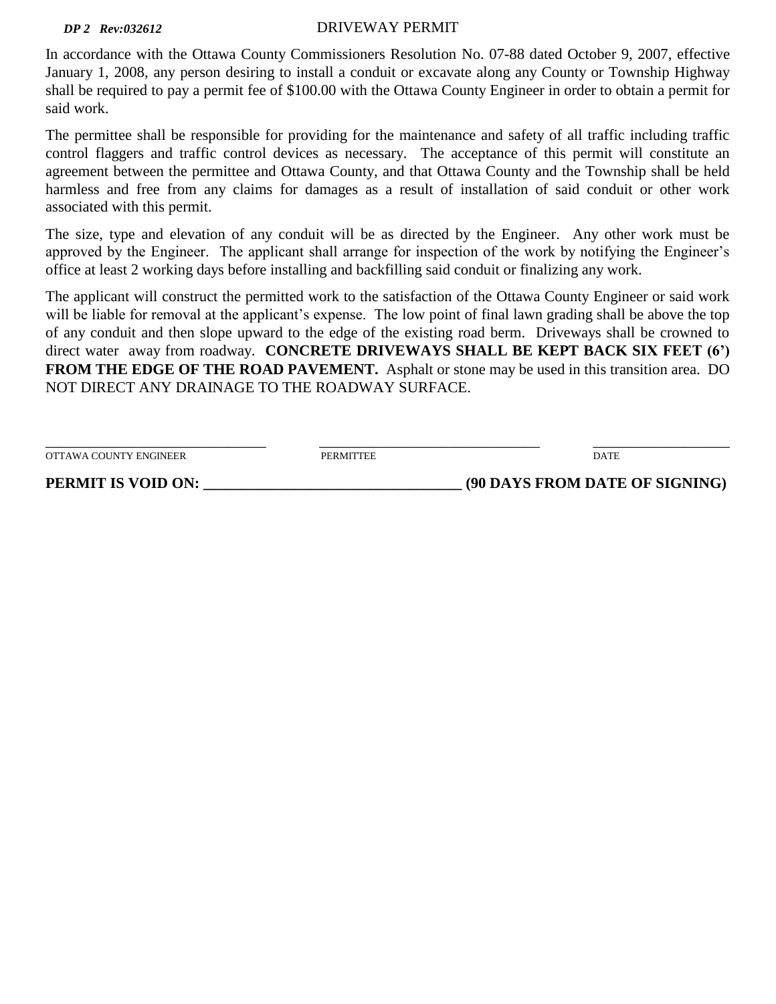#### *DP 2 Rev:032612*

#### DRIVEWAY PERMIT

In accordance with the Ottawa County Commissioners Resolution No. 07-88 dated October 9, 2007, effective January 1, 2008, any person desiring to install a conduit or excavate along any County or Township Highway shall be required to pay a permit fee of \$100.00 with the Ottawa County Engineer in order to obtain a permit for said work.

The permittee shall be responsible for providing for the maintenance and safety of all traffic including traffic control flaggers and traffic control devices as necessary. The acceptance of this permit will constitute an agreement between the permittee and Ottawa County, and that Ottawa County and the Township shall be held harmless and free from any claims for damages as a result of installation of said conduit or other work associated with this permit.

The size, type and elevation of any conduit will be as directed by the Engineer. Any other work must be approved by the Engineer. The applicant shall arrange for inspection of the work by notifying the Engineer's office at least 2 working days before installing and backfilling said conduit or finalizing any work.

The applicant will construct the permitted work to the satisfaction of the Ottawa County Engineer or said work will be liable for removal at the applicant's expense. The low point of final lawn grading shall be above the top of any conduit and then slope upward to the edge of the existing road berm. Driveways shall be crowned to direct water away from roadway. **CONCRETE DRIVEWAYS SHALL BE KEPT BACK SIX FEET (6') FROM THE EDGE OF THE ROAD PAVEMENT.** Asphalt or stone may be used in this transition area. DO NOT DIRECT ANY DRAINAGE TO THE ROADWAY SURFACE.

| PERMIT IS VOID ON:     |                  | (90 DAYS FROM DATE OF SIGNING) |
|------------------------|------------------|--------------------------------|
| OTTAWA COUNTY ENGINEER | <b>PERMITTEE</b> | <b>DATE</b>                    |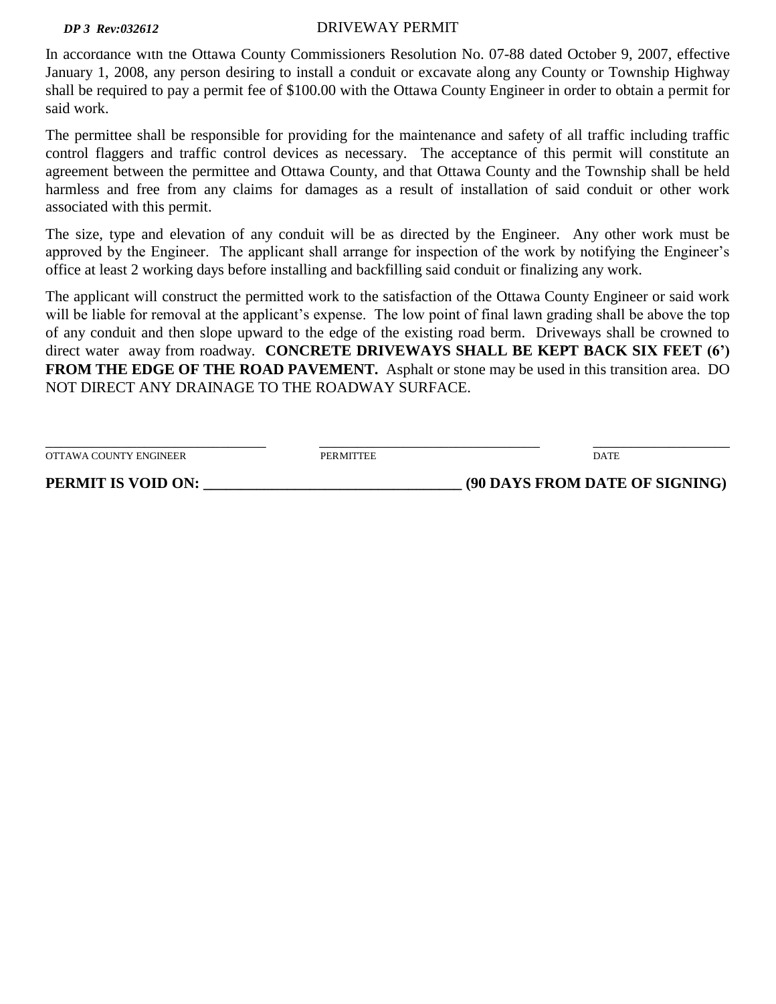#### *DP 3 Rev:032612*

#### DRIVEWAY PERMIT

In accordance with the Ottawa County Commissioners Resolution No. 07-88 dated October 9, 2007, effective January 1, 2008, any person desiring to install a conduit or excavate along any County or Township Highway shall be required to pay a permit fee of \$100.00 with the Ottawa County Engineer in order to obtain a permit for said work.

The permittee shall be responsible for providing for the maintenance and safety of all traffic including traffic control flaggers and traffic control devices as necessary. The acceptance of this permit will constitute an agreement between the permittee and Ottawa County, and that Ottawa County and the Township shall be held harmless and free from any claims for damages as a result of installation of said conduit or other work associated with this permit.

The size, type and elevation of any conduit will be as directed by the Engineer. Any other work must be approved by the Engineer. The applicant shall arrange for inspection of the work by notifying the Engineer's office at least 2 working days before installing and backfilling said conduit or finalizing any work.

The applicant will construct the permitted work to the satisfaction of the Ottawa County Engineer or said work will be liable for removal at the applicant's expense. The low point of final lawn grading shall be above the top of any conduit and then slope upward to the edge of the existing road berm. Driveways shall be crowned to direct water away from roadway. **CONCRETE DRIVEWAYS SHALL BE KEPT BACK SIX FEET (6') FROM THE EDGE OF THE ROAD PAVEMENT.** Asphalt or stone may be used in this transition area. DO NOT DIRECT ANY DRAINAGE TO THE ROADWAY SURFACE.

| OTTAWA COUNTY ENGINEER<br><b>DATE</b><br><b>PERMITTEE</b> | PERMIT IS VOID ON: | (90 DAYS FROM DATE OF SIGNING) |
|-----------------------------------------------------------|--------------------|--------------------------------|
|                                                           |                    |                                |